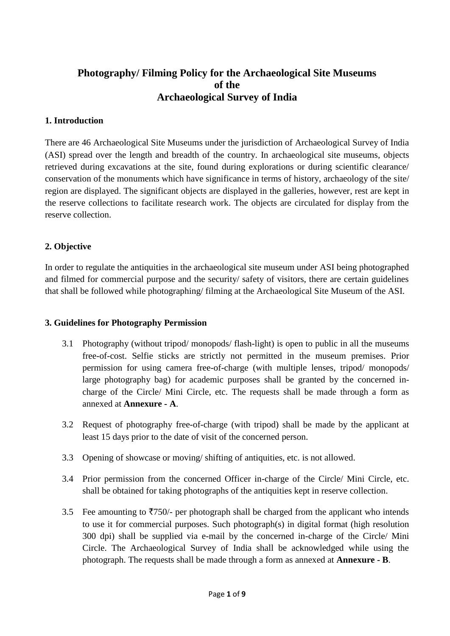# **Photography/ Filming Policy for the Archaeological Site Museums of the Archaeological Survey of India**

# **1. Introduction**

There are 46 Archaeological Site Museums under the jurisdiction of Archaeological Survey of India (ASI) spread over the length and breadth of the country. In archaeological site museums, objects retrieved during excavations at the site, found during explorations or during scientific clearance/ conservation of the monuments which have significance in terms of history, archaeology of the site/ region are displayed. The significant objects are displayed in the galleries, however, rest are kept in the reserve collections to facilitate research work. The objects are circulated for display from the reserve collection.

## **2. Objective**

In order to regulate the antiquities in the archaeological site museum under ASI being photographed and filmed for commercial purpose and the security/ safety of visitors, there are certain guidelines that shall be followed while photographing/ filming at the Archaeological Site Museum of the ASI.

### **3. Guidelines for Photography Permission**

- 3.1 Photography (without tripod/ monopods/ flash-light) is open to public in all the museums free-of-cost. Selfie sticks are strictly not permitted in the museum premises. Prior permission for using camera free-of-charge (with multiple lenses, tripod/ monopods/ large photography bag) for academic purposes shall be granted by the concerned incharge of the Circle/ Mini Circle, etc. The requests shall be made through a form as annexed at **Annexure - A**.
- 3.2 Request of photography free-of-charge (with tripod) shall be made by the applicant at least 15 days prior to the date of visit of the concerned person.
- 3.3 Opening of showcase or moving/ shifting of antiquities, etc. is not allowed.
- 3.4 Prior permission from the concerned Officer in-charge of the Circle/ Mini Circle, etc. shall be obtained for taking photographs of the antiquities kept in reserve collection.
- 3.5 Fee amounting to  $\overline{5750}$  per photograph shall be charged from the applicant who intends to use it for commercial purposes. Such photograph(s) in digital format (high resolution 300 dpi) shall be supplied via e-mail by the concerned in-charge of the Circle/ Mini Circle. The Archaeological Survey of India shall be acknowledged while using the photograph. The requests shall be made through a form as annexed at **Annexure - B**.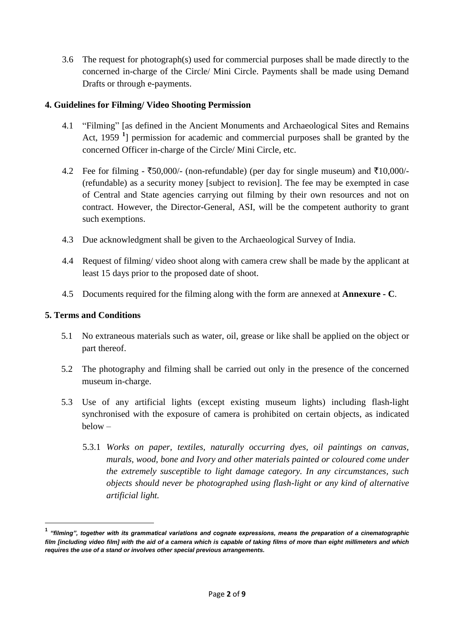3.6 The request for photograph(s) used for commercial purposes shall be made directly to the concerned in-charge of the Circle/ Mini Circle. Payments shall be made using Demand Drafts or through e-payments.

## **4. Guidelines for Filming/ Video Shooting Permission**

- 4.1 "Filming" [as defined in the Ancient Monuments and Archaeological Sites and Remains Act, 1959 **<sup>1</sup>** ] permission for academic and commercial purposes shall be granted by the concerned Officer in-charge of the Circle/ Mini Circle, etc.
- 4.2 Fee for filming  $\overline{50,000}$ /- (non-refundable) (per day for single museum) and  $\overline{510,000}$ /-(refundable) as a security money [subject to revision]. The fee may be exempted in case of Central and State agencies carrying out filming by their own resources and not on contract. However, the Director-General, ASI, will be the competent authority to grant such exemptions.
- 4.3 Due acknowledgment shall be given to the Archaeological Survey of India.
- 4.4 Request of filming/ video shoot along with camera crew shall be made by the applicant at least 15 days prior to the proposed date of shoot.
- 4.5 Documents required for the filming along with the form are annexed at **Annexure - C**.

### **5. Terms and Conditions**

1

- 5.1 No extraneous materials such as water, oil, grease or like shall be applied on the object or part thereof.
- 5.2 The photography and filming shall be carried out only in the presence of the concerned museum in-charge.
- 5.3 Use of any artificial lights (except existing museum lights) including flash-light synchronised with the exposure of camera is prohibited on certain objects, as indicated below –
	- 5.3.1 *Works on paper, textiles, naturally occurring dyes, oil paintings on canvas, murals, wood, bone and Ivory and other materials painted or coloured come under the extremely susceptible to light damage category. In any circumstances, such objects should never be photographed using flash-light or any kind of alternative artificial light.*

**<sup>1</sup>** *"filming", together with its grammatical variations and cognate expressions, means the preparation of a cinematographic film [including video film] with the aid of a camera which is capable of taking films of more than eight millimeters and which requires the use of a stand or involves other special previous arrangements.*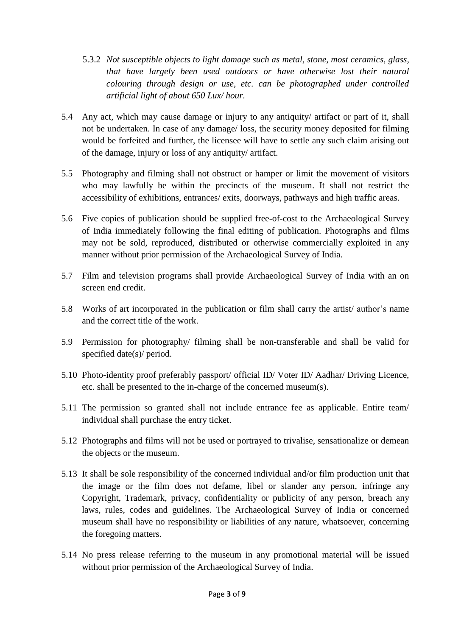- 5.3.2 *Not susceptible objects to light damage such as metal, stone, most ceramics, glass, that have largely been used outdoors or have otherwise lost their natural colouring through design or use, etc. can be photographed under controlled artificial light of about 650 Lux/ hour.*
- 5.4 Any act, which may cause damage or injury to any antiquity/ artifact or part of it, shall not be undertaken. In case of any damage/ loss, the security money deposited for filming would be forfeited and further, the licensee will have to settle any such claim arising out of the damage, injury or loss of any antiquity/ artifact.
- 5.5 Photography and filming shall not obstruct or hamper or limit the movement of visitors who may lawfully be within the precincts of the museum. It shall not restrict the accessibility of exhibitions, entrances/ exits, doorways, pathways and high traffic areas.
- 5.6 Five copies of publication should be supplied free-of-cost to the Archaeological Survey of India immediately following the final editing of publication. Photographs and films may not be sold, reproduced, distributed or otherwise commercially exploited in any manner without prior permission of the Archaeological Survey of India.
- 5.7 Film and television programs shall provide Archaeological Survey of India with an on screen end credit.
- 5.8 Works of art incorporated in the publication or film shall carry the artist/ author's name and the correct title of the work.
- 5.9 Permission for photography/ filming shall be non-transferable and shall be valid for specified date(s)/ period.
- 5.10 Photo-identity proof preferably passport/ official ID/ Voter ID/ Aadhar/ Driving Licence, etc. shall be presented to the in-charge of the concerned museum(s).
- 5.11 The permission so granted shall not include entrance fee as applicable. Entire team/ individual shall purchase the entry ticket.
- 5.12 Photographs and films will not be used or portrayed to trivalise, sensationalize or demean the objects or the museum.
- 5.13 It shall be sole responsibility of the concerned individual and/or film production unit that the image or the film does not defame, libel or slander any person, infringe any Copyright, Trademark, privacy, confidentiality or publicity of any person, breach any laws, rules, codes and guidelines. The Archaeological Survey of India or concerned museum shall have no responsibility or liabilities of any nature, whatsoever, concerning the foregoing matters.
- 5.14 No press release referring to the museum in any promotional material will be issued without prior permission of the Archaeological Survey of India.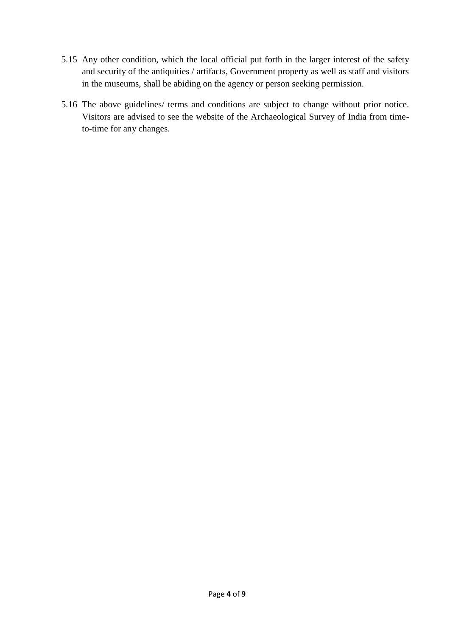- 5.15 Any other condition, which the local official put forth in the larger interest of the safety and security of the antiquities / artifacts, Government property as well as staff and visitors in the museums, shall be abiding on the agency or person seeking permission.
- 5.16 The above guidelines/ terms and conditions are subject to change without prior notice. Visitors are advised to see the website of the Archaeological Survey of India from timeto-time for any changes.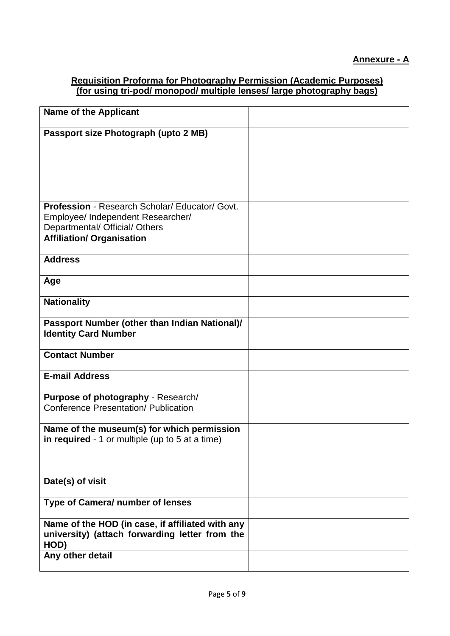# **Requisition Proforma for Photography Permission (Academic Purposes) (for using tri-pod/ monopod/ multiple lenses/ large photography bags)**

| <b>Name of the Applicant</b>                                                                               |  |
|------------------------------------------------------------------------------------------------------------|--|
| Passport size Photograph (upto 2 MB)                                                                       |  |
|                                                                                                            |  |
|                                                                                                            |  |
|                                                                                                            |  |
| Profession - Research Scholar/ Educator/ Govt.                                                             |  |
| Employee/ Independent Researcher/<br>Departmental/ Official/ Others                                        |  |
| <b>Affiliation/ Organisation</b>                                                                           |  |
| <b>Address</b>                                                                                             |  |
| Age                                                                                                        |  |
| <b>Nationality</b>                                                                                         |  |
| Passport Number (other than Indian National)/<br><b>Identity Card Number</b>                               |  |
| <b>Contact Number</b>                                                                                      |  |
| <b>E-mail Address</b>                                                                                      |  |
| Purpose of photography - Research/<br><b>Conference Presentation/ Publication</b>                          |  |
| Name of the museum(s) for which permission<br>in required - 1 or multiple (up to 5 at a time)              |  |
| Date(s) of visit                                                                                           |  |
| Type of Camera/ number of lenses                                                                           |  |
| Name of the HOD (in case, if affiliated with any<br>university) (attach forwarding letter from the<br>HOD) |  |
| Any other detail                                                                                           |  |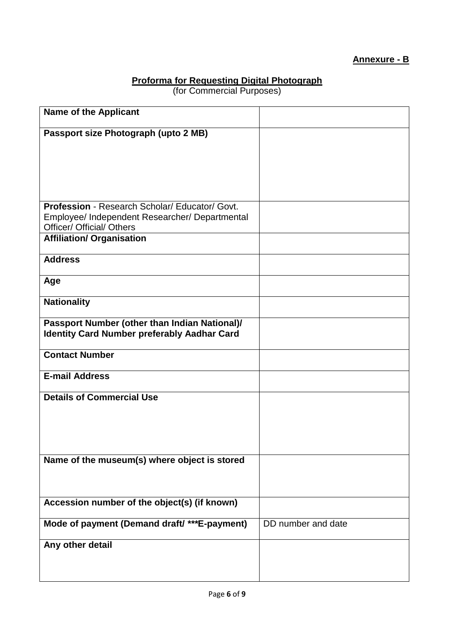# **Annexure - B**

# **Proforma for Requesting Digital Photograph**

(for Commercial Purposes)

| <b>Name of the Applicant</b>                                                       |                    |
|------------------------------------------------------------------------------------|--------------------|
| Passport size Photograph (upto 2 MB)                                               |                    |
|                                                                                    |                    |
|                                                                                    |                    |
|                                                                                    |                    |
|                                                                                    |                    |
| Profession - Research Scholar/ Educator/ Govt.                                     |                    |
| Employee/ Independent Researcher/ Departmental<br><b>Officer/ Official/ Others</b> |                    |
| <b>Affiliation/ Organisation</b>                                                   |                    |
|                                                                                    |                    |
| <b>Address</b>                                                                     |                    |
| Age                                                                                |                    |
| <b>Nationality</b>                                                                 |                    |
| Passport Number (other than Indian National)/                                      |                    |
| <b>Identity Card Number preferably Aadhar Card</b>                                 |                    |
| <b>Contact Number</b>                                                              |                    |
| <b>E-mail Address</b>                                                              |                    |
| <b>Details of Commercial Use</b>                                                   |                    |
|                                                                                    |                    |
|                                                                                    |                    |
|                                                                                    |                    |
| Name of the museum(s) where object is stored                                       |                    |
|                                                                                    |                    |
|                                                                                    |                    |
| Accession number of the object(s) (if known)                                       |                    |
| Mode of payment (Demand draft/ ***E-payment)                                       | DD number and date |
| Any other detail                                                                   |                    |
|                                                                                    |                    |
|                                                                                    |                    |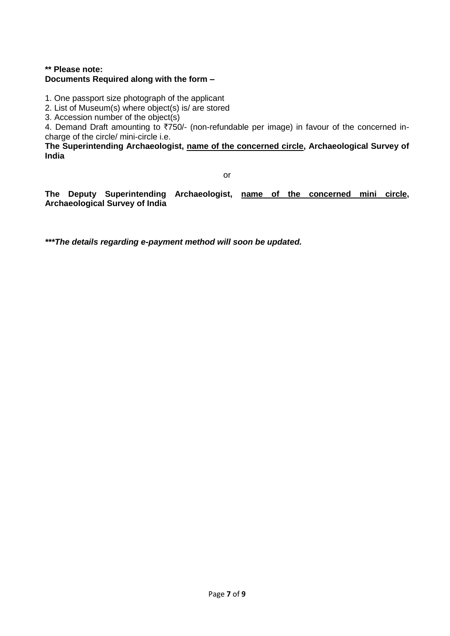### **\*\* Please note: Documents Required along with the form –**

1. One passport size photograph of the applicant

2. List of Museum(s) where object(s) is/ are stored

3. Accession number of the object(s)

4. Demand Draft amounting to  $\overline{7750}$ /- (non-refundable per image) in favour of the concerned incharge of the circle/ mini-circle i.e.

**The Superintending Archaeologist, name of the concerned circle, Archaeological Survey of India**

or

**The Deputy Superintending Archaeologist, name of the concerned mini circle, Archaeological Survey of India**

*\*\*\*The details regarding e-payment method will soon be updated.*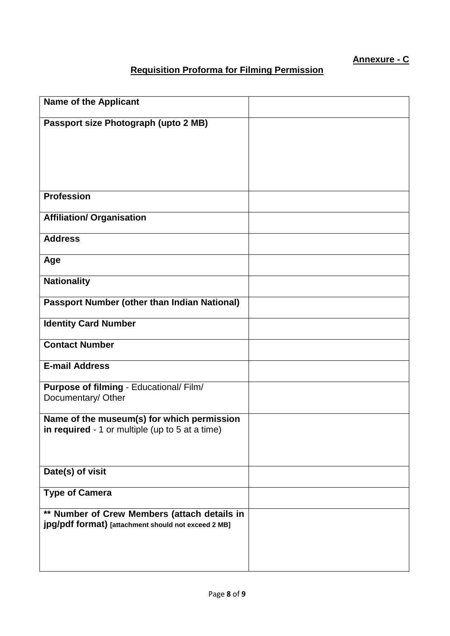# **Annexure - C**

# **Requisition Proforma for Filming Permission**

| <b>Name of the Applicant</b>                        |  |
|-----------------------------------------------------|--|
|                                                     |  |
| Passport size Photograph (upto 2 MB)                |  |
|                                                     |  |
|                                                     |  |
|                                                     |  |
|                                                     |  |
|                                                     |  |
|                                                     |  |
|                                                     |  |
| <b>Profession</b>                                   |  |
|                                                     |  |
|                                                     |  |
| <b>Affiliation/ Organisation</b>                    |  |
|                                                     |  |
| <b>Address</b>                                      |  |
|                                                     |  |
| Age                                                 |  |
|                                                     |  |
|                                                     |  |
| <b>Nationality</b>                                  |  |
|                                                     |  |
| <b>Passport Number (other than Indian National)</b> |  |
|                                                     |  |
|                                                     |  |
| <b>Identity Card Number</b>                         |  |
|                                                     |  |
| <b>Contact Number</b>                               |  |
|                                                     |  |
| <b>E-mail Address</b>                               |  |
|                                                     |  |
|                                                     |  |
| Purpose of filming - Educational/ Film/             |  |
| Documentary/ Other                                  |  |
|                                                     |  |
| Name of the museum(s) for which permission          |  |
| in required - 1 or multiple (up to 5 at a time)     |  |
|                                                     |  |
|                                                     |  |
|                                                     |  |
|                                                     |  |
| Date(s) of visit                                    |  |
|                                                     |  |
| <b>Type of Camera</b>                               |  |
|                                                     |  |
|                                                     |  |
| ** Number of Crew Members (attach details in        |  |
| jpg/pdf format) [attachment should not exceed 2 MB] |  |
|                                                     |  |
|                                                     |  |
|                                                     |  |
|                                                     |  |
|                                                     |  |